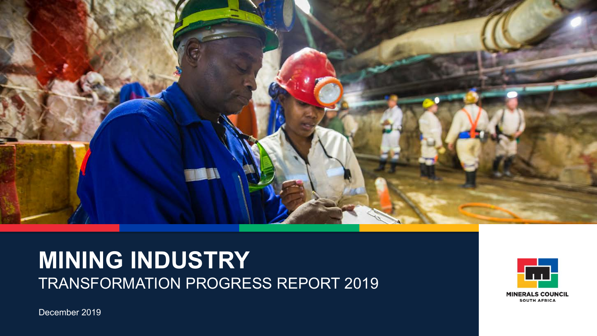

# **MINING INDUSTRY**  TRANSFORMATION PROGRESS REPORT 2019



December 2019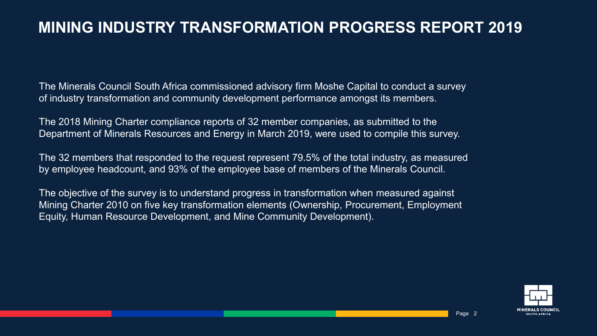### **MINING INDUSTRY TRANSFORMATION PROGRESS REPORT 2019**

The Minerals Council South Africa commissioned advisory firm Moshe Capital to conduct a survey of industry transformation and community development performance amongst its members.

The 2018 Mining Charter compliance reports of 32 member companies, as submitted to the Department of Minerals Resources and Energy in March 2019, were used to compile this survey.

The 32 members that responded to the request represent 79.5% of the total industry, as measured by employee headcount, and 93% of the employee base of members of the Minerals Council.

The objective of the survey is to understand progress in transformation when measured against Mining Charter 2010 on five key transformation elements (Ownership, Procurement, Employment Equity, Human Resource Development, and Mine Community Development).

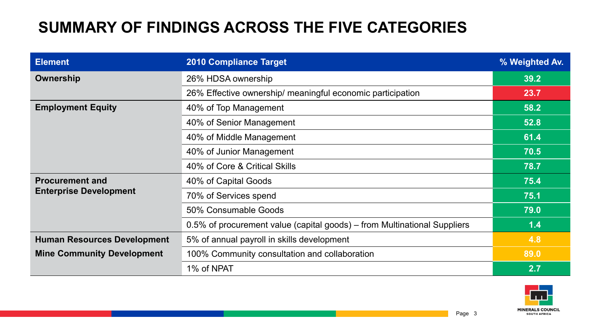## **SUMMARY OF FINDINGS ACROSS THE FIVE CATEGORIES**

| <b>Element</b>                     | <b>2010 Compliance Target</b>                                            | % Weighted Av. |
|------------------------------------|--------------------------------------------------------------------------|----------------|
| Ownership                          | 26% HDSA ownership                                                       | 39.2           |
|                                    | 26% Effective ownership/ meaningful economic participation               | 23.7           |
| <b>Employment Equity</b>           | 40% of Top Management                                                    | 58.2           |
|                                    | 40% of Senior Management                                                 | 52.8           |
|                                    | 40% of Middle Management                                                 | 61.4           |
|                                    | 40% of Junior Management                                                 | 70.5           |
|                                    | 40% of Core & Critical Skills                                            | 78.7           |
| <b>Procurement and</b>             | 40% of Capital Goods                                                     | 75.4           |
| <b>Enterprise Development</b>      | 70% of Services spend                                                    | 75.1           |
|                                    | 50% Consumable Goods                                                     | 79.0           |
|                                    | 0.5% of procurement value (capital goods) – from Multinational Suppliers | 1.4            |
| <b>Human Resources Development</b> | 5% of annual payroll in skills development                               |                |
| <b>Mine Community Development</b>  | 100% Community consultation and collaboration                            | 89.0           |
|                                    | 1% of NPAT                                                               | 2.7            |

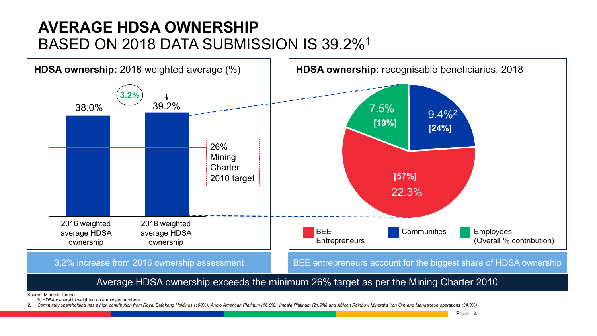### **AVERAGE HDSA OWNERSHIP**  BASED ON 2018 DATA SUBMISSION IS 39.2%1



#### Average HDSA ownership exceeds the minimum 26% target as per the Mining Charter 2010

Source: Minerals Council

1. % HDSA ownership weighted on employee numbers

Community shareholding has a high contribution from Royal Bafokeng Holdings (100%), Anglo American Platinum (16.8%), Impala Platinum (21.9%) and African Rainbow Mineral's Iron Ore and Manganese operations (34.3%)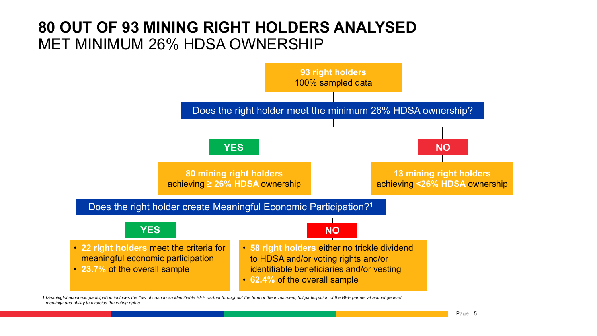### **80 OUT OF 93 MINING RIGHT HOLDERS ANALYSED** MET MINIMUM 26% HDSA OWNERSHIP



*1.Meaningful economic participation includes the flow of cash to an identifiable BEE partner throughout the term of the investment, full participation of the BEE partner at annual general meetings and ability to exercise the voting rights*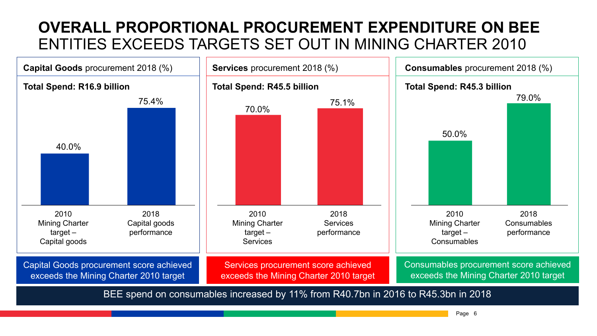## **OVERALL PROPORTIONAL PROCUREMENT EXPENDITURE ON BEE**  ENTITIES EXCEEDS TARGETS SET OUT IN MINING CHARTER 2010

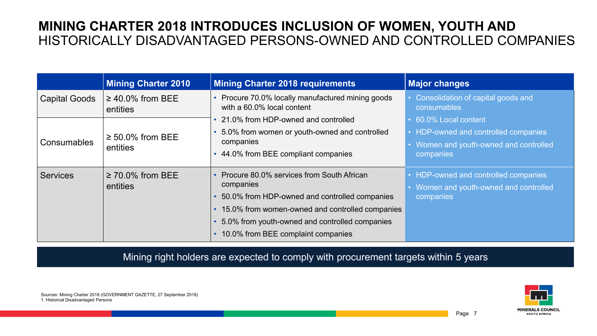#### **MINING CHARTER 2018 INTRODUCES INCLUSION OF WOMEN, YOUTH AND**  HISTORICALLY DISADVANTAGED PERSONS-OWNED AND CONTROLLED COMPANIES

|                                                          | <b>Mining Charter 2010</b>        | <b>Mining Charter 2018 requirements</b>                                         | <b>Major changes</b>                              |
|----------------------------------------------------------|-----------------------------------|---------------------------------------------------------------------------------|---------------------------------------------------|
| <b>Capital Goods</b>                                     | $\geq$ 40.0% from BEE<br>entities | • Procure 70.0% locally manufactured mining goods<br>with a 60.0% local content | Consolidation of capital goods and<br>consumables |
|                                                          |                                   | • 21.0% from HDP-owned and controlled                                           | 60.0% Local content                               |
| $\geq 50.0\%$ from BEE<br><b>Consumables</b><br>entities |                                   | 5.0% from women or youth-owned and controlled                                   | HDP-owned and controlled companies                |
|                                                          |                                   | companies                                                                       | Women and youth-owned and controlled              |
|                                                          |                                   | 44.0% from BEE compliant companies                                              | companies                                         |
| <b>Services</b>                                          | $\geq$ 70.0% from BEE             | • Procure 80.0% services from South African                                     | HDP-owned and controlled companies                |
|                                                          | entities                          | companies                                                                       | Women and youth-owned and controlled              |
|                                                          |                                   | 50.0% from HDP-owned and controlled companies                                   | companies                                         |
|                                                          |                                   | • 15.0% from women-owned and controlled companies                               |                                                   |
|                                                          |                                   | 5.0% from youth-owned and controlled companies                                  |                                                   |
|                                                          |                                   | 10.0% from BEE complaint companies                                              |                                                   |

Mining right holders are expected to comply with procurement targets within 5 years



Sources: Mining Charter 2018 (GOVERNMENT GAZETTE, 27 September 2018) 1. Historical Disadvantaged Persons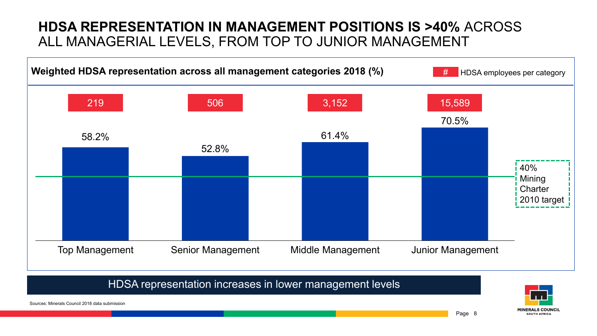#### **HDSA REPRESENTATION IN MANAGEMENT POSITIONS IS >40%** ACROSS ALL MANAGERIAL LEVELS, FROM TOP TO JUNIOR MANAGEMENT



HDSA representation increases in lower management levels

**MINERALS COUNCII** SOUTH AFRICA

Sources: Minerals Council 2018 data submission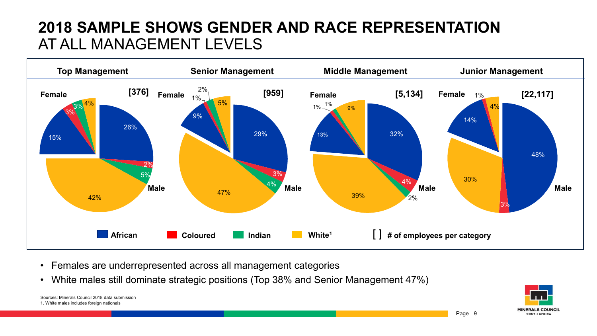### **2018 SAMPLE SHOWS GENDER AND RACE REPRESENTATION**  AT ALL MANAGEMENT LEVELS



- Females are underrepresented across all management categories
- White males still dominate strategic positions (Top 38% and Senior Management 47%)

Sources: Minerals Council 2018 data submission 1. White males includes foreign nationals

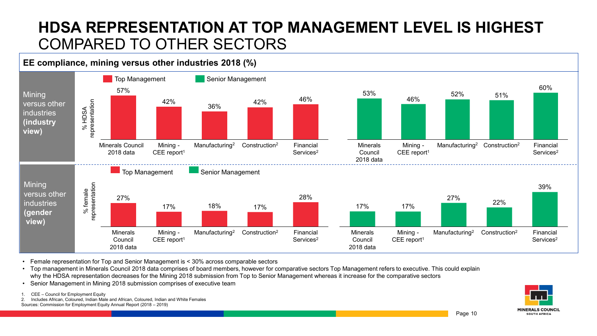### **HDSA REPRESENTATION AT TOP MANAGEMENT LEVEL IS HIGHEST**  COMPARED TO OTHER SECTORS

#### **EE compliance, mining versus other industries 2018 (%)**



• Female representation for Top and Senior Management is < 30% across comparable sectors

• Top management in Minerals Council 2018 data comprises of board members, however for comparative sectors Top Management refers to executive. This could explain why the HDSA representation decreases for the Mining 2018 submission from Top to Senior Management whereas it increase for the comparative sectors

• Senior Management in Mining 2018 submission comprises of executive team

CEE – Council for Employment Equity

2. Includes African, Coloured, Indian Male and African, Coloured, Indian and White Females Sources: Commission for Employment Equity Annual Report (2018 – 2019)

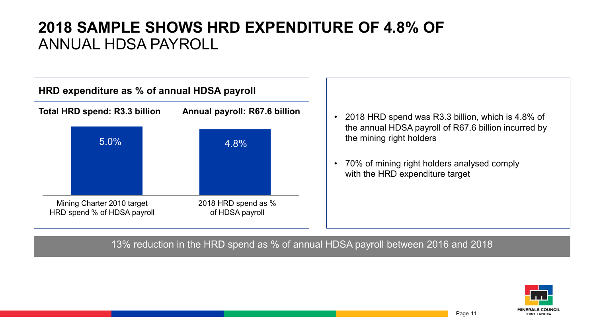### **2018 SAMPLE SHOWS HRD EXPENDITURE OF 4.8% OF**  ANNUAL HDSA PAYROLL



- 2018 HRD spend was R3.3 billion, which is 4.8% of the annual HDSA payroll of R67.6 billion incurred by the mining right holders
- 70% of mining right holders analysed comply with the HRD expenditure target

#### 13% reduction in the HRD spend as % of annual HDSA payroll between 2016 and 2018

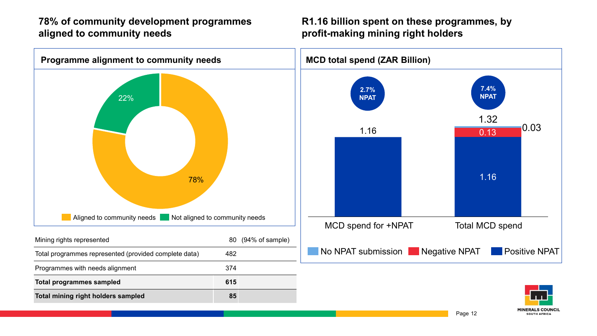#### **78% of community development programmes aligned to community needs**

#### **R1.16 billion spent on these programmes, by profit-making mining right holders**



**SOUTH AFRICA**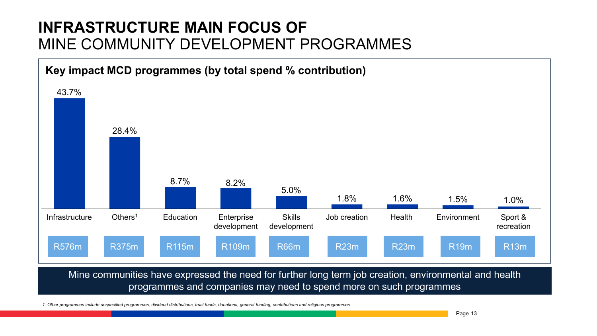### **INFRASTRUCTURE MAIN FOCUS OF**  MINE COMMUNITY DEVELOPMENT PROGRAMMES



programmes and companies may need to spend more on such programmes

rammes include unspecified programmes, dividend distributions, trust funds, donations, general funding, contributions and religious progr